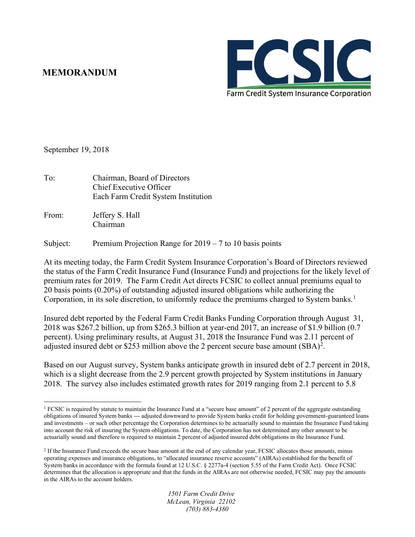## **MEMORANDUM**



September 19, 2018

- To: Chairman, Board of Directors Chief Executive Officer Each Farm Credit System Institution
- From: Jeffery S. Hall Chairman

Subject: Premium Projection Range for 2019 – 7 to 10 basis points

At its meeting today, the Farm Credit System Insurance Corporation's Board of Directors reviewed the status of the Farm Credit Insurance Fund (Insurance Fund) and projections for the likely level of premium rates for 2019. The Farm Credit Act directs FCSIC to collect annual premiums equal to 20 basis points (0.20%) of outstanding adjusted insured obligations while authorizing the Corporation, in its sole discretion, to uniformly reduce the premiums charged to System banks.<sup>[1](#page-0-0)</sup>

Insured debt reported by the Federal Farm Credit Banks Funding Corporation through August 31, 2018 was \$267.2 billion, up from \$265.3 billion at year-end 2017, an increase of \$1.9 billion (0.7 percent). Using preliminary results, at August 31, 2018 the Insurance Fund was 2.11 percent of adjusted insured debt or \$[2](#page-0-1)53 million above the 2 percent secure base amount  $(SBA)^2$ .

Based on our August survey, System banks anticipate growth in insured debt of 2.7 percent in 2018, which is a slight decrease from the 2.9 percent growth projected by System institutions in January 2018. The survey also includes estimated growth rates for 2019 ranging from 2.1 percent to 5.8

<span id="page-0-0"></span> $\overline{a}$ <sup>1</sup> FCSIC is required by statute to maintain the Insurance Fund at a "secure base amount" of 2 percent of the aggregate outstanding obligations of insured System banks --- adjusted downward to provide System banks credit for holding government-guaranteed loans and investments – or such other percentage the Corporation determines to be actuarially sound to maintain the Insurance Fund taking into account the risk of insuring the System obligations. To date, the Corporation has not determined any other amount to be actuarially sound and therefore is required to maintain 2 percent of adjusted insured debt obligations in the Insurance Fund.

<span id="page-0-1"></span><sup>&</sup>lt;sup>2</sup> If the Insurance Fund exceeds the secure base amount at the end of any calendar year, FCSIC allocates those amounts, minus operating expenses and insurance obligations, to "allocated insurance reserve accounts" (AIRAs) established for the benefit of System banks in accordance with the formula found at 12 U.S.C. § 2277a-4 (section 5.55 of the Farm Credit Act). Once FCSIC determines that the allocation is appropriate and that the funds in the AIRAs are not otherwise needed, FCSIC may pay the amounts in the AIRAs to the account holders.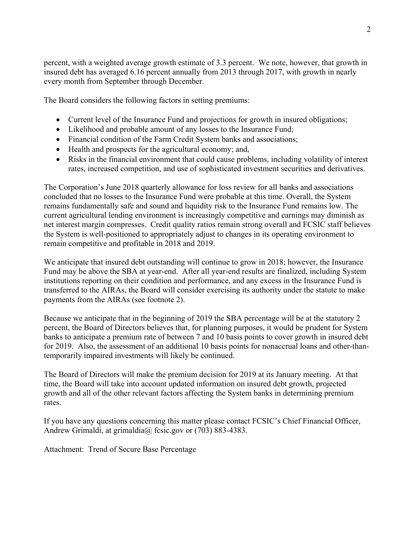percent, with a weighted average growth estimate of 3.3 percent. We note, however, that growth in insured debt has averaged 6.16 percent annually from 2013 through 2017, with growth in nearly every month from September through December.

The Board considers the following factors in setting premiums:

- Current level of the Insurance Fund and projections for growth in insured obligations;
- Likelihood and probable amount of any losses to the Insurance Fund;
- Financial condition of the Farm Credit System banks and associations;
- Health and prospects for the agricultural economy; and,
- Risks in the financial environment that could cause problems, including volatility of interest rates, increased competition, and use of sophisticated investment securities and derivatives.

The Corporation's June 2018 quarterly allowance for loss review for all banks and associations concluded that no losses to the Insurance Fund were probable at this time. Overall, the System remains fundamentally safe and sound and liquidity risk to the Insurance Fund remains low. The current agricultural lending environment is increasingly competitive and earnings may diminish as net interest margin compresses. Credit quality ratios remain strong overall and FCSIC staff believes the System is well-positioned to appropriately adjust to changes in its operating environment to remain competitive and profitable in 2018 and 2019.

We anticipate that insured debt outstanding will continue to grow in 2018; however, the Insurance Fund may be above the SBA at year-end. After all year-end results are finalized, including System institutions reporting on their condition and performance, and any excess in the Insurance Fund is transferred to the AIRAs, the Board will consider exercising its authority under the statute to make payments from the AIRAs (see footnote 2).

Because we anticipate that in the beginning of 2019 the SBA percentage will be at the statutory 2 percent, the Board of Directors believes that, for planning purposes, it would be prudent for System banks to anticipate a premium rate of between 7 and 10 basis points to cover growth in insured debt for 2019. Also, the assessment of an additional 10 basis points for nonaccrual loans and other-thantemporarily impaired investments will likely be continued.

The Board of Directors will make the premium decision for 2019 at its January meeting. At that time, the Board will take into account updated information on insured debt growth, projected growth and all of the other relevant factors affecting the System banks in determining premium rates.

If you have any questions concerning this matter please contact FCSIC's Chief Financial Officer, Andrew Grimaldi, at grimaldia@ fcsic.gov or (703) 883-4383.

Attachment: Trend of Secure Base Percentage